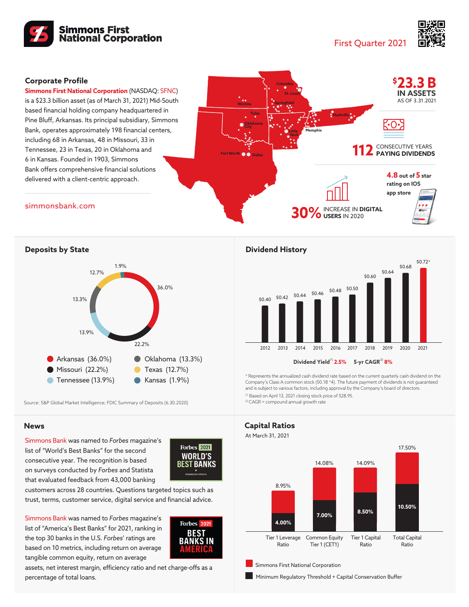

First Quarter 2021



## **Corporate Profile**

**Simmons First National Corporation** (NASDAQ: SFNC) is a \$23.3 billion asset (as of March 31, 2021) Mid-South based financial holding company headquartered in Pine Bluff, Arkansas. Its principal subsidiary, Simmons Bank, operates approximately 198 financial centers, including 68 in Arkansas, 48 in Missouri, 33 in Tennessee, 23 in Texas, 20 in Oklahoma and 6 in Kansas. Founded in 1903, Simmons Bank offers comprehensive financial solutions delivered with a client-centric approach.



[simmonsbank.com](https://www.simmonsbank.com/)



Source: S&P Global Market Intelligence; FDIC Summary of Deposits (6.30.2020)

## **News**

Simmons Bank was named to *Forbes* magazine's list of ["World's Best Banks"](https://www.simmonsbank.com/about-us/news-releases/20210413-simmons-bank-named-among-worlds-best-by-forbes) for the second consecutive year. The recognition is based on surveys conducted by *Forbes* and Statista that evaluated feedback from 43,000 banking



customers across 28 countries. Questions targeted topics such as trust, terms, customer service, digital service and financial advice.

Simmons Bank was named to *Forbes* magazine's list of ["America's Best Banks"](https://www.simmonsbank.com/about-us/news-releases/20210407-simmons-bank-named-among-americas-best-by-forbes) for 2021, ranking in the top 30 banks in the U.S. *Forbes*' ratings are based on 10 metrics, including return on average tangible common equity, return on average



assets, net interest margin, efficiency ratio and net charge-offs as a percentage of total loans.

## **Dividend History**



\* Represents the annualized cash dividend rate based on the current quarterly cash dividend on the Company's Class A common stock (\$0.18 \*4). The future payment of dividends is not guaranteed and is subject to various factors, including approval by the Company's board of directors.

(1) Based on April 13, 2021 closing stock price of \$28.95. (2) CAGR = compound annual growth rate



Minimum Regulatory Threshold + Capital Conservation Buffer